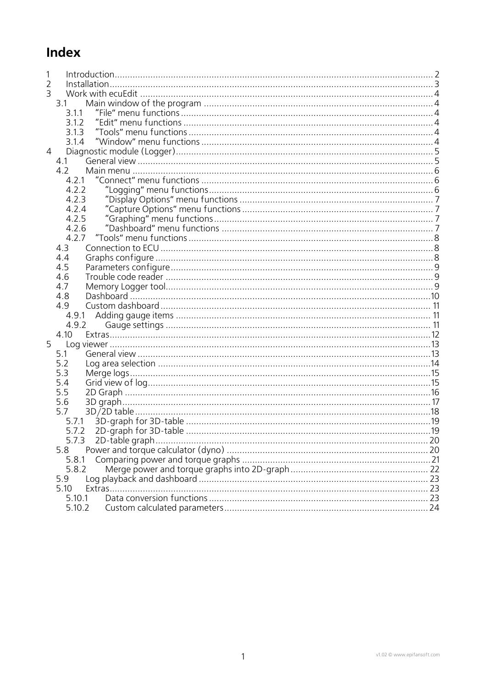# Index

| 2 |        |    |
|---|--------|----|
| 3 |        |    |
|   | 3.1    |    |
|   | 3.1.1  |    |
|   | 3.1.2  |    |
|   | 3.1.3  |    |
|   | 3.1.4  |    |
| 4 |        |    |
|   | 4.1    |    |
|   | 4.2    |    |
|   | 4.2.1  |    |
|   | 4.2.2  |    |
|   | 4.2.3  |    |
|   | 4.2.4  |    |
|   | 4.2.5  |    |
|   | 4.2.6  |    |
|   | 4.2.7  |    |
|   | 4.3    |    |
|   | 4.4    |    |
|   | 4.5    |    |
|   | 4.6    |    |
|   | 4.7    |    |
|   | 4.8    |    |
|   | 4.9    |    |
|   |        |    |
|   | 4.9.2  |    |
|   | 4.10   |    |
| 5 |        |    |
|   | 5.1    |    |
|   | 5.2    |    |
|   | 5.3    |    |
|   | 5.4    |    |
|   | 5.5    |    |
|   | 5.6    |    |
|   | 5.7    |    |
|   |        |    |
|   |        |    |
|   |        |    |
|   | 5.7.3  | 20 |
|   | 5.8    |    |
|   | 5.8.1  |    |
|   | 5.8.2  |    |
|   | 5.9    |    |
|   | 5.10   |    |
|   | 5.10.1 |    |
|   | 5.10.2 |    |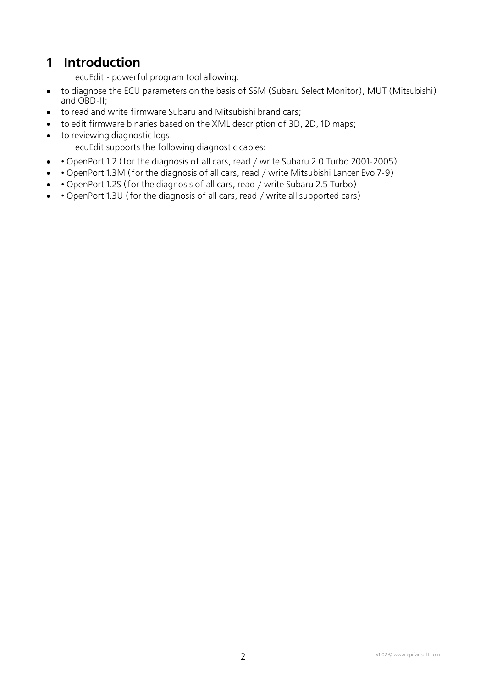# <span id="page-1-0"></span>**1 Introduction**

ecuEdit - powerful program tool allowing:

- to diagnose the ECU parameters on the basis of SSM (Subaru Select Monitor), MUT (Mitsubishi) and OBD-II;
- to read and write firmware Subaru and Mitsubishi brand cars;
- to edit firmware binaries based on the XML description of 3D, 2D, 1D maps;
- to reviewing diagnostic logs.
	- ecuEdit supports the following diagnostic cables:
- • OpenPort 1.2 (for the diagnosis of all cars, read / write Subaru 2.0 Turbo 2001-2005)
- • OpenPort 1.3M (for the diagnosis of all cars, read / write Mitsubishi Lancer Evo 7-9)
- • OpenPort 1.2S (for the diagnosis of all cars, read / write Subaru 2.5 Turbo)
- • OpenPort 1.3U (for the diagnosis of all cars, read / write all supported cars)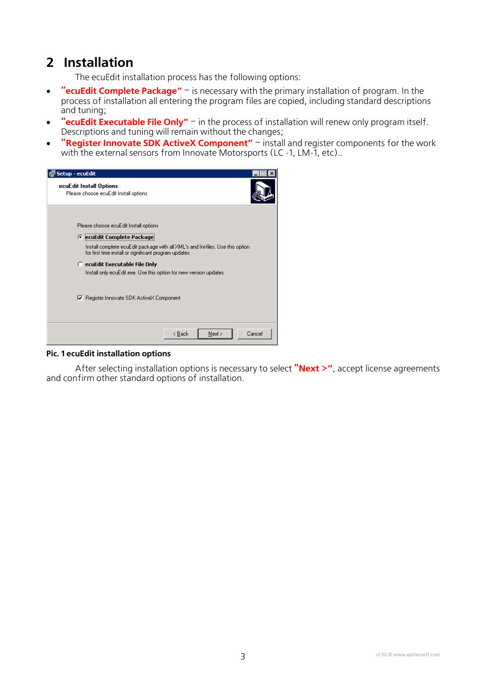# <span id="page-2-0"></span>**2 Installation**

The ecuEdit installation process has the following options:

- **"ecuEdit Complete Package"** is necessary with the primary installation of program. In the process of installation all entering the program files are copied, including standard descriptions and tuning;
- **"ecuEdit Executable File Only"** in the process of installation will renew only program itself. Descriptions and tuning will remain without the changes;
- **"Register Innovate SDK ActiveX Component"** install and register components for the work with the external sensors from Innovate Motorsports (LC -1, LM-1, etc)...

| Setup - ecuEdit                                                                                                                                                                                                                                                                                                                                                        |
|------------------------------------------------------------------------------------------------------------------------------------------------------------------------------------------------------------------------------------------------------------------------------------------------------------------------------------------------------------------------|
| ecuEdit Install Options<br>Please choose ecuEdit Install options                                                                                                                                                                                                                                                                                                       |
| Please choose ecuEdit Install options<br>C ecuEdit Complete Package<br>Install complete ecuEdit package with all XML's and Ini-files. Use this option<br>for first time install or significant program updates<br>C ecuEdit Executable File Only<br>Install only ecuEdit.exe. Use this option for new version updates.<br>Register Innovate SDK ActiveX Component<br>☞ |
| Cancel<br>< Back<br>Next >                                                                                                                                                                                                                                                                                                                                             |

#### **Pic. 1 ecuEdit installation options**

After selecting installation options is necessary to select **"Next >"**, accept license agreements and confirm other standard options of installation.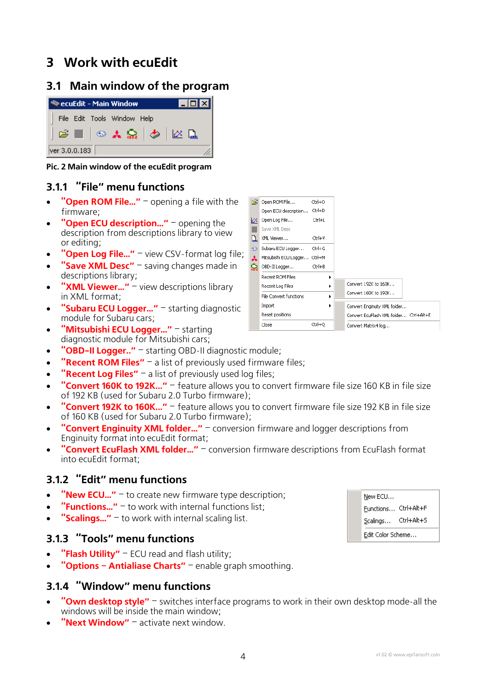# <span id="page-3-0"></span>**3 Work with ecuEdit**

## **3.1 Main window of the program**



**Pic. 2 Main window of the ecuEdit program**

### **3.1.1 "File" menu functions**

- **"Open ROM File…"** opening a file with the firmware;
- **"Open ECU description…"** opening the description from descriptions library to view or editing;
- **"Open Log File..."** view CSV-format log file;
- **"Save XML Desc"** saving changes made in descriptions library;
- **"XML Viewer..."** view descriptions library in XML format;
- **"Subaru ECU Logger..."** starting diagnostic module for Subaru cars;
- **"Mitsubishi ECU Logger..."** starting diagnostic module for Mitsubishi cars;
- **"OBD-II Logger.."** starting OBD-II diagnostic module;
- **"Recent ROM Files"** a list of previously used firmware files;
- **"Recent Log Files"** a list of previously used log files;
- **"Convert 160K to 192K..."** feature allows you to convert firmware file size 160 KB in file size of 192 KB (used for Subaru 2.0 Turbo firmware);
- **"Convert 192K to 160K..."** feature allows you to convert firmware file size 192 KB in file size of 160 KB (used for Subaru 2.0 Turbo firmware);
- **"Convert Enginuity XML folder…"** conversion firmware and logger descriptions from Enginuity format into ecuEdit format;
- **"Convert EcuFlash XML folder…"** conversion firmware descriptions from EcuFlash format into ecuEdit format;

#### **3.1.2 "Edit" menu functions**

- **"New ECU…"** to create new firmware type description;
- **"Functions…"** to work with internal functions list;
- **"Scalings…"** to work with internal scaling list.

### **3.1.3 "Tools" menu functions**

- **"Flash Utility"** ECU read and flash utility;
- **"Options Antialiase Charts"** enable graph smoothing.

#### **3.1.4 "Window" menu functions**

- **"Own desktop style"** switches interface programs to work in their own desktop mode-all the windows will be inside the main window;
- **"Next Window"** activate next window.



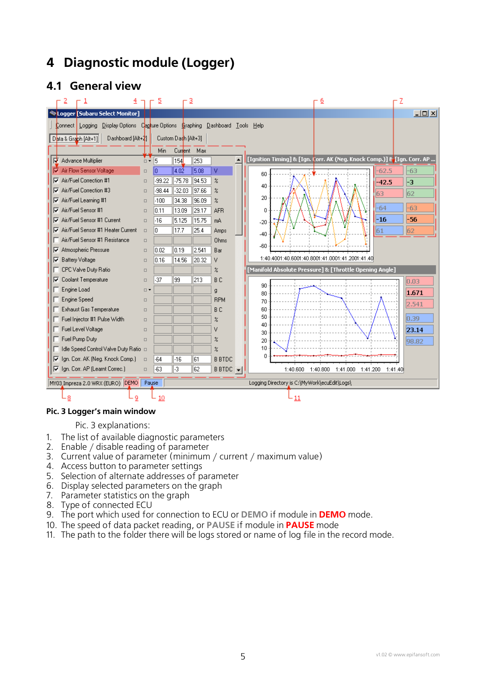# <span id="page-4-0"></span>**4 Diagnostic module (Logger)**

## **4.1 General view**

<span id="page-4-1"></span>

#### **Pic. 3 Logger's main window**

[Pic. 3](#page-4-1) explanations:

- 1. The list of available diagnostic parameters
- 2. Enable / disable reading of parameter
- 3. Current value of parameter (minimum / current / maximum value)
- 4. Access button to parameter settings
- 5. Selection of alternate addresses of parameter
- 6. Display selected parameters on the graph
- 7. Parameter statistics on the graph
- 8. Type of connected ECU
- 9. The port which used for connection to ECU or **DEMO** if module in **DEMO** mode.
- 10. The speed of data packet reading, or **PAUSE** if module in **PAUSE** mode
- 11. The path to the folder there will be logs stored or name of log file in the record mode.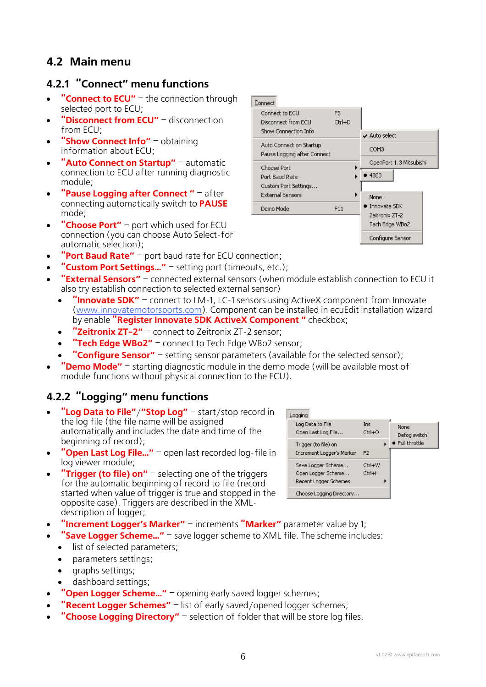# <span id="page-5-0"></span>**4.2 Main menu**

### **4.2.1 "Connect" menu functions**

- **"Connect to ECU"** the connection through selected port to ECU;
- **"Disconnect from ECU"** disconnection from ECU;
- **"Show Connect Info"** obtaining information about ECU;
- **"Auto Connect on Startup"** automatic connection to ECU after running diagnostic module;
- **"Pause Logging after Connect "** after connecting automatically switch to **PAUSE** mode;
- **"Choose Port"** port which used for ECU connection (you can choose Auto Select-for automatic selection);
- **"Port Baud Rate"** port baud rate for ECU connection;
- **"Custom Port Settings…"** setting port (timeouts, etc.);
- **"External Sensors"** connected external sensors (when module establish connection to ECU it also try establish connection to selected external sensor)
	- **"Innovate SDK"** connect to LM-1, LC-1 sensors using ActiveX component from Innovate [\(www.innovatemotorsports.com](http://www.innovatemotorsports.com/)). Component can be installed in ecuEdit installation wizard by enable **"Register Innovate SDK ActiveX Component "** checkbox;
	- **"Zeitronix ZT-2"** connect to Zeitronix ZT-2 sensor;
	- **"Tech Edge WBo2"** connect to Tech Edge WBo2 sensor;
	- **"Configure Sensor"** setting sensor parameters (available for the selected sensor);
- **"Demo Mode"** starting diagnostic module in the demo mode (will be available most of module functions without physical connection to the ECU).

## **4.2.2 "Logging" menu functions**

- **"Log Data to File"**/**"Stop Log"** start/stop record in the log file (the file name will be assigned automatically and includes the date and time of the beginning of record);
- **"Open Last Log File…"** open last recorded log-file in log viewer module;
- **"Trigger (to file) on"** selecting one of the triggers for the automatic beginning of record to file (record started when value of trigger is true and stopped in the opposite case). Triggers are described in the XMLdescription of logger;

• **"Increment Logger's Marker"** – increments **"Marker"** parameter value by 1;

- **"Save Logger Scheme…"** save logger scheme to XML file. The scheme includes:
	- list of selected parameters;
	- parameters settings;
	- graphs settings;
	- dashboard settings;
- **"Open Logger Scheme…"** opening early saved logger schemes;
- **"Recent Logger Schemes"** list of early saved/opened logger schemes;
- **"Choose Logging Directory"** selection of folder that will be store log files.



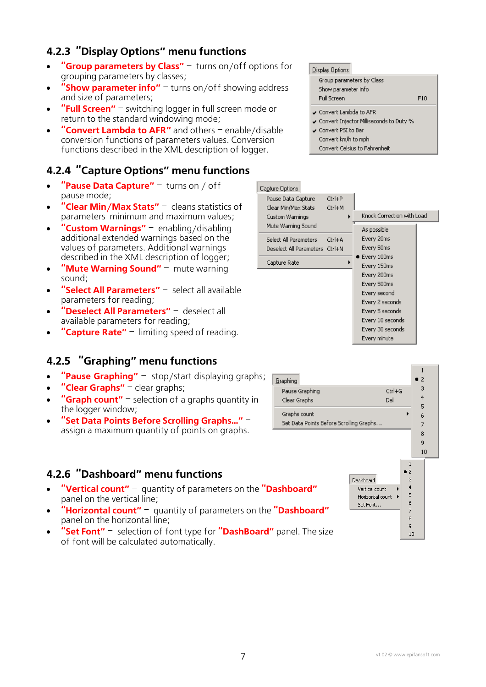# <span id="page-6-0"></span>**4.2.3 "Display Options" menu functions**

- **"Group parameters by Class"** turns on/off options for grouping parameters by classes;
- **"Show parameter info"** turns on/off showing address and size of parameters;
- **"Full Screen"** switching logger in full screen mode or return to the standard windowing mode;
- **"Convert Lambda to AFR"** and others enable/disable conversion functions of parameters values. Conversion functions described in the XML description of logger.

## **4.2.4 "Capture Options" menu functions**

- "Pause Data Capture" turns on / off pause mode;
- **"Clear Min/Max Stats"** cleans statistics of parameters minimum and maximum values;
- **"Custom Warnings"** enabling/disabling additional extended warnings based on the values of parameters. Additional warnings described in the XML description of logger;
- "**Mute Warning Sound"** mute warning sound;
- **"Select All Parameters"** select all available parameters for reading;
- **"Deselect All Parameters"** deselect all available parameters for reading;
- **"Capture Rate"** limiting speed of reading.

## **4.2.5 "Graphing" menu functions**

- **"Pause Graphing"** stop/start displaying graphs;
- **"Clear Graphs"** clear graphs;
- **"Graph count"** selection of a graphs quantity in the logger window;
- **"Set Data Points Before Scrolling Graphs…"** assign a maximum quantity of points on graphs.

### **4.2.6 "Dashboard" menu functions**

- **"Vertical count"** quantity of parameters on the **"Dashboard"** panel on the vertical line;
- **"Horizontal count"** quantity of parameters on the **"Dashboard"** panel on the horizontal line;
- **"Set Font"** selection of font type for **"DashBoard"** panel. The size of font will be calculated automatically.

#### Display Options

| Group parameters by Class<br>Show parameter info |     |
|--------------------------------------------------|-----|
| Full Screen                                      | F10 |
|                                                  |     |

- ↓ Convert Lambda to AFR
- √ Convert Injector Milliseconds to Duty %
- ← Convert PSI to Bar Convert km/h to mph Convert Celsius to Fahrenheit





 $10$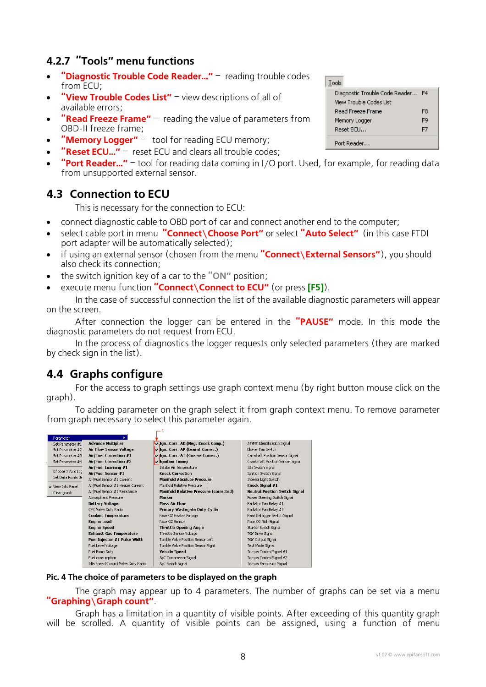## <span id="page-7-0"></span>**4.2.7 "Tools" menu functions**

- **"Diagnostic Trouble Code Reader…"** reading trouble codes from ECU;
- **"View Trouble Codes List"** view descriptions of all of available errors;
- **"Read Freeze Frame"** reading the value of parameters from OBD-II freeze frame;
- **"Memory Logger"** tool for reading ECU memory;
- "Reset ECU..." reset ECU and clears all trouble codes;
- **"Port Reader…"** tool for reading data coming in I/O port. Used, for example, for reading data from unsupported external sensor.

## **4.3 Connection to ECU**

This is necessary for the connection to ECU:

- connect diagnostic cable to OBD port of car and connect another end to the computer;
- select cable port in menu **"Connect\Choose Port"** or select **"Auto Select"** (in this case FTDI port adapter will be automatically selected);
- if using an external sensor (chosen from the menu "**Connect\External Sensors"**), you should also check its connection;
- the switch ignition key of a car to the **"ON"** position;
- execute menu function **"Connect\Connect to ECU"** (or press **[F5]**).

In the case of successful connection the list of the available diagnostic parameters will appear on the screen.

After connection the logger can be entered in the **"PAUSE"** mode. In this mode the diagnostic parameters do not request from ECU.

In the process of diagnostics the logger requests only selected parameters (they are marked by check sign in the list).

## **4.4 Graphs configure**

For the access to graph settings use graph context menu (by right button mouse click on the graph).

To adding parameter on the graph select it from graph context menu. To remove parameter from graph necessary to select this parameter again.

| Parameter          |                                     |                                               |                                       |
|--------------------|-------------------------------------|-----------------------------------------------|---------------------------------------|
| Set Parameter #1   | <b>Advance Multiplier</b>           | J.Jgn. Corr. AK (Neg. Knock Comp.)            | AT/MT Identification Signal           |
| Set Parameter #2   | <b>Air Flow Sensor Voltage</b>      | V Ign. Corr. AP (Learnt Correc.)              | Blower Fan Switch                     |
| Set Parameter #3   | Air/Fuel Correction #1              | vilgn. Corr. AT (Coarse Correc.)              | Camshaft Position Sensor Signal       |
| Set Parameter #4   | Air/Fuel Correction #3              | <b>Jenition Timing</b>                        | Crankshaft Position Sensor Signal     |
|                    | Air/Fuel Learning #1                | Intake Air Temperature                        | Idle Switch Signal                    |
| Choose X Axis Loc  | Air/Fuel Sensor #1                  | <b>Knock Correction</b>                       | Ignition Switch Signal                |
| Set Data Points Be | Air/Fuel Sensor #1 Current          | <b>Manifold Absolute Pressure</b>             | Interior Light Switch                 |
| V View Info Panel  | Air/Fuel Sensor #1 Heater Current   | Manifold Relative Pressure                    | Knock Signal #1                       |
| Clear graph        | Air/Fuel Sensor #1 Resistance       | <b>Manifold Relative Pressure (corrected)</b> | <b>Neutral Position Switch Signal</b> |
|                    | Atmospheric Pressure                | Marker                                        | Power Steering Switch Signal          |
|                    | <b>Battery Voltage</b>              | <b>Mass Air Flow</b>                          | Radiator Fan Relay #1                 |
|                    | CPC Valve Duty Ratio                | Primary Wastegate Duty Cycle                  | Radiator Fan Relay #2                 |
|                    | <b>Coolant Temperature</b>          | Rear O2 Heater Voltage                        | Rear Defogger Switch Signal           |
|                    | <b>Engine Load</b>                  | Rear O2 Sensor                                | Rear O2 Rich Signal                   |
|                    | <b>Engine Speed</b>                 | <b>Throttle Opening Angle</b>                 | Starter Switch Signal                 |
|                    | Exhaust Gas Temperature             | Throttle Sensor Voltage                       | TGV Drive Signal                      |
|                    | Fuel Injector #1 Pulse Width        | Tumble Valve Position Sensor Left             | TGV Output Signal                     |
|                    | Fuel Level Voltage                  | Tumble Valve Position Sensor Right            | Test Mode Signal                      |
|                    | Fuel Pump Duty                      | Vehicle Speed                                 | Torque Control Signal #1              |
|                    | Fuel consumption                    | A/C Compressor Signal                         | Torque Control Signal #2              |
|                    | Idle Speed Control Valve Duty Ratio | A/C Switch Signal                             | Torque Permission Signal              |

#### **Pic. 4 The choice of parameters to be displayed on the graph**

 $-1$ 

The graph may appear up to 4 parameters. The number of graphs can be set via a menu **"Graphing\Graph count"**.

Graph has a limitation in a quantity of visible points. After exceeding of this quantity graph will be scrolled. A quantity of visible points can be assigned, using a function of menu

| Tools                   |                                   |    |  |
|-------------------------|-----------------------------------|----|--|
|                         | Diagnostic Trouble Code Reader F4 |    |  |
| View Trouble Codes List |                                   |    |  |
| Read Freeze Frame       |                                   | F8 |  |
|                         | Memory Logger                     |    |  |
|                         | Reset ECU                         | F7 |  |
| Port Reader             |                                   |    |  |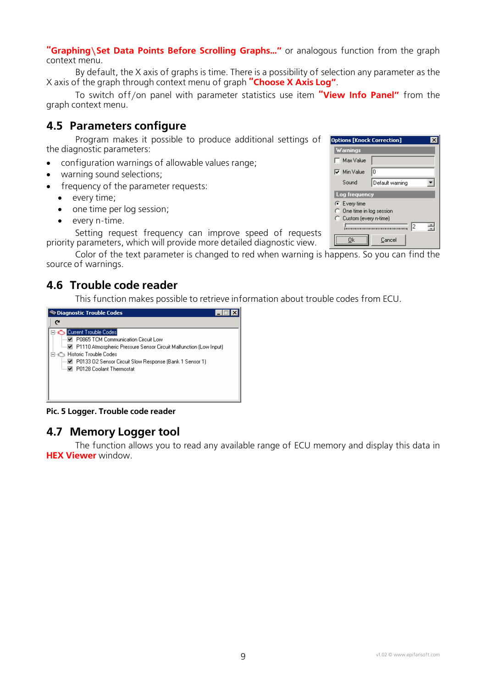<span id="page-8-0"></span>"Graphing\Set Data Points Before Scrolling Graphs..." or analogous function from the graph context menu.

By default, the X axis of graphs is time. There is a possibility of selection any parameter as the X axis of the graph through context menu of graph **"Choose X Axis Log"**.

To switch off/on panel with parameter statistics use item **"View Info Panel"** from the graph context menu.

### <span id="page-8-1"></span>**4.5 Parameters configure**

Program makes it possible to produce additional settings of the diagnostic parameters:

- configuration warnings of allowable values range;
- warning sound selections;
- frequency of the parameter requests:
	- every time;
	- one time per log session;
	- every n-time.

Setting request frequency can improve speed of requests priority parameters, which will provide more detailed diagnostic view.

Color of the text parameter is changed to red when warning is happens. So you can find the source of warnings.

## **4.6 Trouble code reader**

This function makes possible to retrieve information about trouble codes from ECU.



**Pic. 5 Logger. Trouble code reader** 

## **4.7 Memory Logger tool**

The function allows you to read any available range of ECU memory and display this data in **HEX Viewer** window.

| <b>Options [Knock Correction]</b>                                              |                 |  |  |
|--------------------------------------------------------------------------------|-----------------|--|--|
| Warnings                                                                       |                 |  |  |
| Max Value                                                                      |                 |  |  |
| <b>▽</b> Min Value                                                             | I٥              |  |  |
| Sound                                                                          | Default warning |  |  |
| Log frequency                                                                  |                 |  |  |
| $C$ Every time<br>$\bigcap$ One time in log session<br>C Custom (every n-time) |                 |  |  |
| 12<br>Cancel                                                                   |                 |  |  |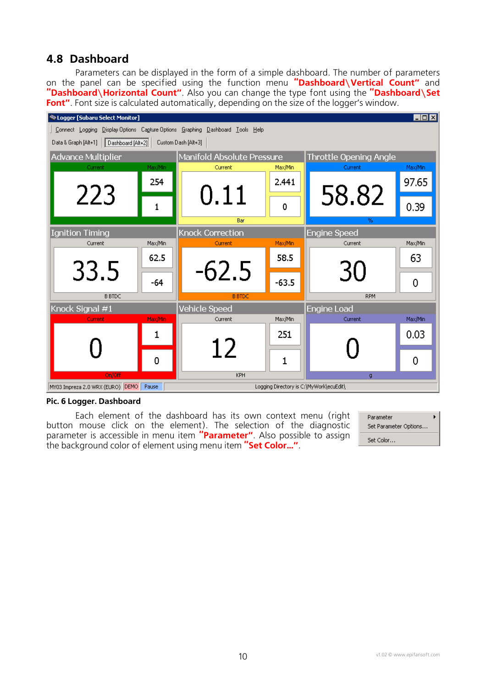## <span id="page-9-0"></span>**4.8 Dashboard**

Parameters can be displayed in the form of a simple dashboard. The number of parameters on the panel can be specified using the function menu **"Dashboard\Vertical Count"** and **"Dashboard\Horizontal Count"**. Also you can change the type font using the **"Dashboard\Set Font"**. Font size is calculated automatically, depending on the size of the logger's window.



#### **Pic. 6 Logger. Dashboard**

Each element of the dashboard has its own context menu (right button mouse click on the element). The selection of the diagnostic parameter is accessible in menu item **"Parameter"**. Also possible to assign the background color of element using menu item **"Set Color…"**.

Parameter Set Parameter Options... Set Color...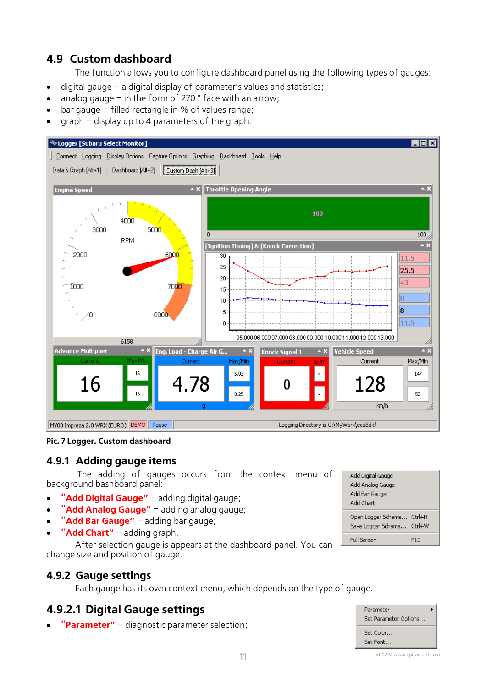# <span id="page-10-0"></span>**4.9 Custom dashboard**

<span id="page-10-1"></span>The function allows you to configure dashboard panel using the following types of gauges:

- digital gauge  $-$  a digital display of parameter's values and statistics;
- analog gauge  $-$  in the form of 270  $\degree$  face with an arrow;
- bar gauge  $-$  filled rectangle in % of values range;
- $q$ raph display up to 4 parameters of the graph.



**Pic. 7 Logger. Custom dashboard** 

#### **4.9.1 Adding gauge items**

The adding of gauges occurs from the context menu of background bashboard panel:

- "**Add Digital Gauge"** adding digital gauge;
- **"Add Analog Gauge"** adding analog gauge;
- "**Add Bar Gauge"** adding bar gauge;
- **"Add Chart"** adding graph.

After selection gauge is appears at the dashboard panel. You can change size and position of gauge.

#### **4.9.2 Gauge settings**

Each gauge has its own context menu, which depends on the type of gauge.

## **4.9.2.1 Digital Gauge settings**

• **"Parameter"** – diagnostic parameter selection;

| Add Digital Gauge<br>Add Analog Gauge<br>Add Bar Gauge<br>Add Chart |              |
|---------------------------------------------------------------------|--------------|
| Open Logger Scheme<br>Save Logger Scheme Ctrl+W                     | $C$ trl $+H$ |
| Full Screen                                                         | F1N          |



v1.02 © www.epifansoft.com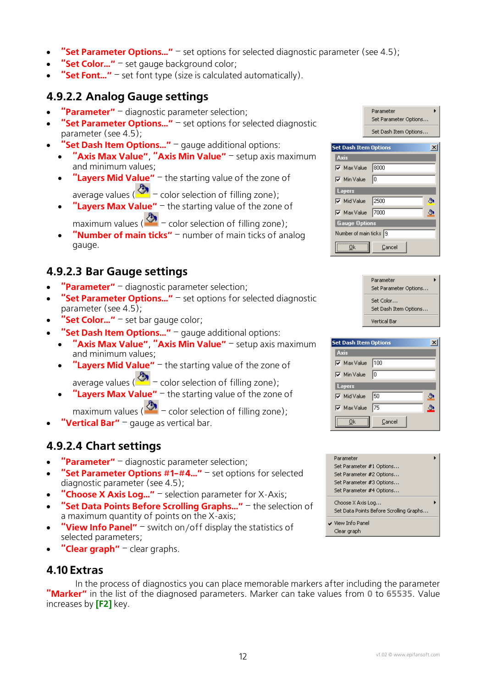- <span id="page-11-0"></span>• **"Set Parameter Options…"** – set options for selected diagnostic parameter (see [4.5\)](#page-8-1);
- **"Set Color…"** set gauge background color;
- **"Set Font…"** set font type (size is calculated automatically).

### **4.9.2.2 Analog Gauge settings**

- **"Parameter"** diagnostic parameter selection;
- **"Set Parameter Options…"** set options for selected diagnostic parameter (see [4.5\)](#page-8-1);
- **"Set Dash Item Options..."** gauge additional options:
	- **"Axis Max Value"**, **"Axis Min Value"** setup axis maximum and minimum values;
	- **"Layers Mid Value"** the starting value of the zone of average values ( $\bigotimes$  – color selection of filling zone);
	- **"Layers Max Value"** the starting value of the zone of maximum values ( $\bigotimes$  – color selection of filling zone);
		-
	- **"Number of main ticks"** number of main ticks of analog gauge.

## **4.9.2.3 Bar Gauge settings**

- **"Parameter"** diagnostic parameter selection;
- **"Set Parameter Options..."** set options for selected diagnostic parameter (see [4.5\)](#page-8-1);
- **"Set Color…"** set bar gauge color;
- **"Set Dash Item Options…"** gauge additional options:
	- **"Axis Max Value"**, **"Axis Min Value"** setup axis maximum and minimum values;
	- **"Layers Mid Value"** the starting value of the zone of average values ( $\bigotimes$  – color selection of filling zone);
	- **"Layers Max Value"** the starting value of the zone of

maximum values ( $\frac{1}{2}$  – color selection of filling zone);

**"Vertical Bar"** – gauge as vertical bar.

### **4.9.2.4 Chart settings**

- **"Parameter"** diagnostic parameter selection;
- **"Set Parameter Options #1-#4…"** set options for selected diagnostic parameter (see [4.5\)](#page-8-1);
- **"Choose X Axis Log…"** selection parameter for X-Axis;
- **"Set Data Points Before Scrolling Graphs…"** the selection of a maximum quantity of points on the X-axis;
- **"View Info Panel"** switch on/off display the statistics of selected parameters;
- **"Clear graph"** clear graphs.

#### **4.10 Extras**

In the process of diagnostics you can place memorable markers after including the parameter **"Marker"** in the list of the diagnosed parameters. Marker can take values from **0** to **65535**. Value increases by **[F2]** key.

| Parameter             |  |
|-----------------------|--|
| Set Parameter Options |  |
| Set Dash Item Options |  |

| <b>Set Dash Item Options</b> |    |  |  |  |  |
|------------------------------|----|--|--|--|--|
| Axis                         |    |  |  |  |  |
| Max Value   8000             |    |  |  |  |  |
| l⊽ Min Value                 | Iо |  |  |  |  |
| Layers                       |    |  |  |  |  |
| $\nabla$ Mid Value 2500      |    |  |  |  |  |
| $\nabla$ Max Value   7000    |    |  |  |  |  |
| <b>Gauge Options</b>         |    |  |  |  |  |
| Number of main ticks 9       |    |  |  |  |  |
| Οk<br>Cancel                 |    |  |  |  |  |

| <b>Set Dash Item Options</b> |        |  |
|------------------------------|--------|--|
| Axis                         |        |  |
| ⊽ Max Value                  | 100    |  |
| Min Value                    | ıо     |  |
| Layers                       |        |  |
| Mid Value                    | 150    |  |
| <b>▽</b> Max Value           | 175    |  |
| Πk                           | Cancel |  |

| Parameter                               |  |
|-----------------------------------------|--|
| Set Parameter #1 Options                |  |
| Set Parameter #2 Options                |  |
| Set Parameter #3 Options                |  |
| Set Parameter #4 Options                |  |
| Choose X Axis Log                       |  |
| Set Data Points Before Scrolling Graphs |  |
| ↓ View Info Panel                       |  |
| Clear graph                             |  |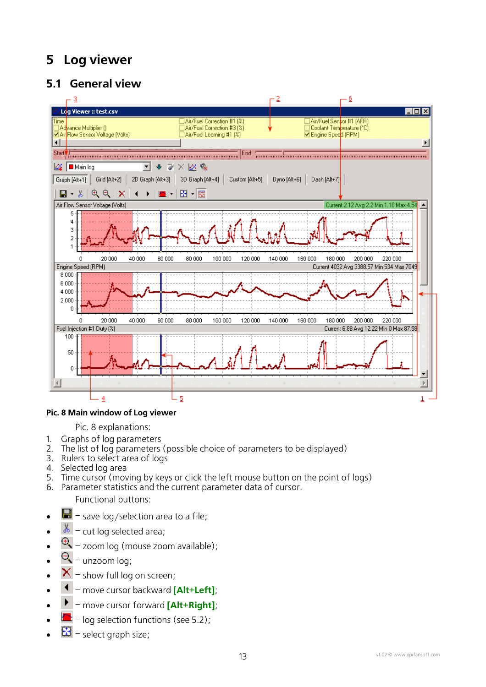# <span id="page-12-0"></span>**5 Log viewer**

# **5.1 General view**

<span id="page-12-1"></span>

#### **Pic. 8 Main window of Log viewer**

[Pic. 8](#page-12-1) explanations:

- 1. Graphs of log parameters
- 2. The list of log parameters (possible choice of parameters to be displayed)
- 3. Rulers to select area of logs
- 4. Selected log area
- 5. Time cursor (moving by keys or click the left mouse button on the point of logs)
- 6. Parameter statistics and the current parameter data of cursor.

Functional buttons:

- $\Box$  save log/selection area to a file;
- $\frac{1}{20}$  cut log selected area;
- $\bigoplus$  zoom log (mouse zoom available);
- $\mathbf{Q}$  unzoom log;
- $\mathsf{X}$  show full log on screen;
- – move cursor backward **[Alt+Left]**;
- – move cursor forward **[Alt+Right]**;
- – log selection functions (see [5.2\)](#page-13-1);
- $\mathbf{E}$  select graph size;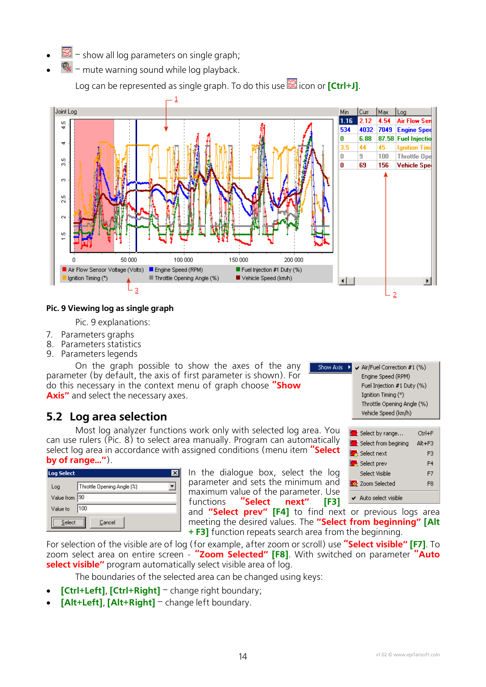- <span id="page-13-0"></span>• – show all log parameters on single graph;
- – mute warning sound while log playback.

Log can be represented as single graph. To do this use **in the log of [Ctrl+J]**.

<span id="page-13-2"></span>

#### **Pic. 9 Viewing log as single graph**

[Pic. 9](#page-13-2) explanations:

- 7. Parameters graphs
- 8. Parameters statistics
- 9. Parameters legends

On the graph possible to show the axes of the any parameter (by default, the axis of first parameter is shown). For do this necessary in the context menu of graph choose **"Show Axis"** and select the necessary axes.

## **5.2 Log area selection**

<span id="page-13-1"></span>Most log analyzer functions work only with selected log area. You can use rulers (Pic. 8) to select area manually. Program can automatically select log area in [accord](#page-12-1)ance with assigned conditions (menu item **"Select by of range…"**).

| <b>Log Select</b> |                            |
|-------------------|----------------------------|
| Log               | Throttle Opening Angle (%) |
| Value from        | 190                        |
| Value to          | 100                        |
| Select            | Cancel                     |

In the dialogue box, select the log parameter and sets the minimum and maximum value of the parameter. Use functions **"Select next" [F3]**

and **"Select prev" [F4]** to find next or previous logs area meeting the desired values. The **"Select from beginning" [Alt + F3]** function repeats search area from the beginning.

Show Axis

For selection of the visible are of log (for example, after zoom or scroll) use **"Select visible" [F7]**. To zoom select area on entire screen - **"Zoom Selected" [F8]**. With switched on parameter **"Auto select visible"** program automatically select visible area of log.

The boundaries of the selected area can be changed using keys:

- **[Ctrl+Left]**, **[Ctrl+Right]** change right boundary;
- **[Alt+Left]**, **[Alt+Right]** change left boundary.

|     | LINING JUGGU (AFTI)                          |        |
|-----|----------------------------------------------|--------|
|     | Fuel Injection #1 Duty (%)                   |        |
|     | Ignition Timing (°)                          |        |
|     | Throttle Opening Angle (%)                   |        |
|     | Vehicle Speed (km/h)                         |        |
|     |                                              |        |
| ou  | <b>Ex</b> Select by range                    | Ctrl+F |
| llv | <b>Real construction of the construction</b> |        |

Air/Fuel Correction #1 (%)

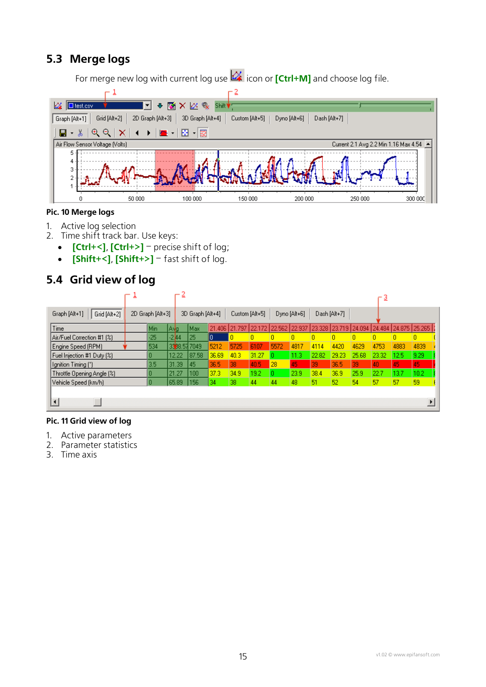# <span id="page-14-0"></span>**5.3 Merge logs**

For merge new log with current log use **in the log of <b>[Ctrl+M]** and choose log file.



#### **Pic. 10 Merge logs**

- 1. Active log selection
- 2. Time shift track bar. Use keys:
	- **[Ctrl+<]**, **[Ctrl+>]** precise shift of log;
	- **[Shift+<]**, **[Shift+>]** fast shift of log.

# **5.4 Grid view of log**

|                               |                  | ≞        |                  |        |                |               |      |              |        |              |                      | 3     |               |      |
|-------------------------------|------------------|----------|------------------|--------|----------------|---------------|------|--------------|--------|--------------|----------------------|-------|---------------|------|
| Grid [Alt+2]<br>Graph [Alt+1] | 2D Graph [Alt+3] |          | 3D Graph [Alt+4] |        | Custom [Alt+5] |               |      | Dyno [Alt+6] |        | Dash [Alt+7] |                      |       |               |      |
| Time                          | Min.             | lA g     | lMax.            | 21.406 | 21.797         | 22.172 22.562 |      | 22.937       | 23.328 |              | 23.719 24.094 24.484 |       | 24.875 25.265 |      |
| Air/Fuel Correction #1 [%]    | $-25$            | $-214$   | 25               | Ю      |                | n             |      |              | n      |              |                      | o     | ٥             | ٥    |
| Engine Speed (RPM)            | 534              | 33 8 5 7 | 7049             | 5212   | 5725           | 6107          | 5572 | 4817         | 4114   | 4420         | 4629                 | 4753  | 4883          | 4839 |
| Fuel Injection #1 Duty (%)    |                  | 12.22    | 87.58            | 36.69  | 40.3           | 31.27         |      | 11.3.        | 22.82  | 29.23        | 25.68                | 23.32 | 12.5          | 9.29 |
| Ignition Timing (°)           | 3.5              | 31.39    | 45               | 36.5   | 38             | 40.5          | 28   | 45           | 39     | 36.5         | 39                   | 40    | 45            | 45   |
| Throttle Opening Angle [%]    |                  | 21.27    | 100              | 37.3   | 34.9           | 19.2          |      | 23.9         | 38.4   | 36.9         | 25.9                 | 22.7  | 13.7          | 10.2 |
| Vehicle Speed (km/h)          | O                | 65.89    | 156              | 34     | 38             | 44            | 44   | 48           | 51     | 52           | 54                   | 57    | 57            | 59   |
|                               |                  |          |                  |        |                |               |      |              |        |              |                      |       |               |      |

#### **Pic. 11 Grid view of log**

- 1. Active parameters
- 2. Parameter statistics
- 3. Time axis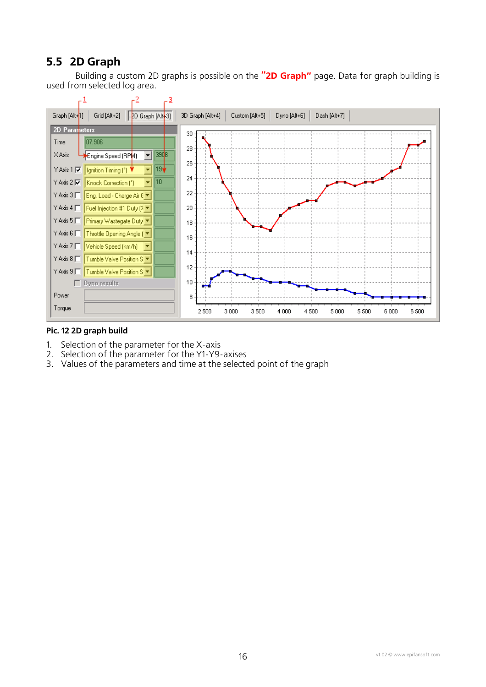# <span id="page-15-0"></span>**5.5 2D Graph**

Building a custom 2D graphs is possible on the **"2D Graph"** page. Data for graph building is used from selected log area.



#### **Pic. 12 2D graph build**

- 1. Selection of the parameter for the X-axis
- 2. Selection of the parameter for the Y1-Y9-axises
- 3. Values of the parameters and time at the selected point of the graph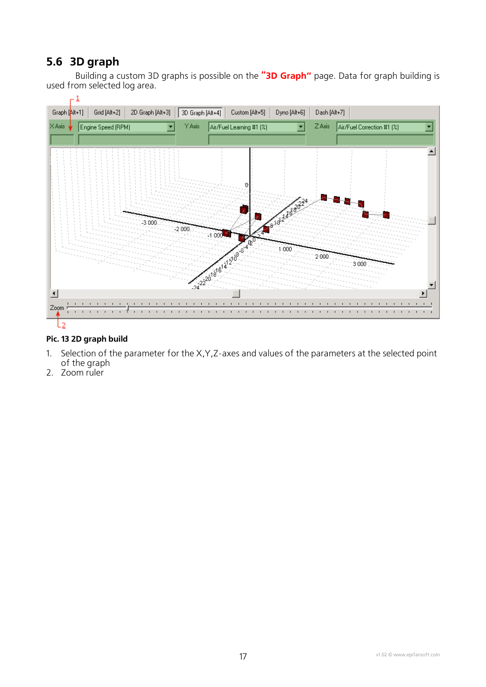# <span id="page-16-0"></span>**5.6 3D graph**

Building a custom 3D graphs is possible on the **"3D Graph"** page. Data for graph building is used from selected log area.



#### **Pic. 13 2D graph build**

- 1. Selection of the parameter for the X,Y,Z-axes and values of the parameters at the selected point of the graph
- 2. Zoom ruler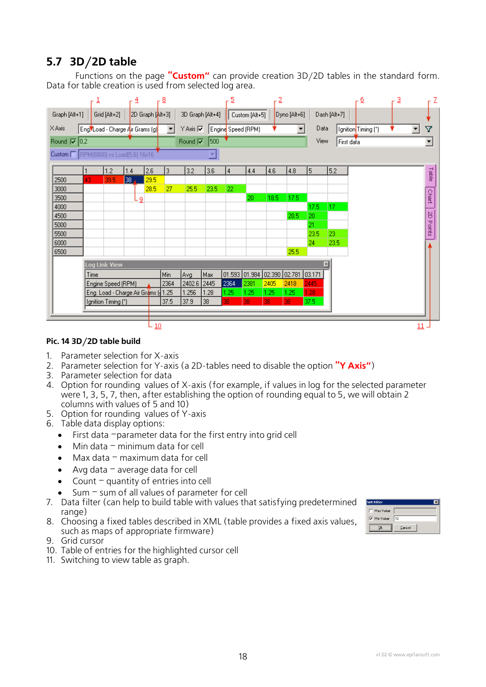# <span id="page-17-0"></span>**5.7 3D/2D table**

Functions on the page **"Custom"** can provide creation 3D/2D tables in the standard form. Data for table creation is used from selected log area.



#### **Pic. 14 3D/2D table build**

- 1. Parameter selection for X-axis
- 2. Parameter selection for Y-axis (a 2D-tables need to disable the option **"Y Axis"**)
- 3. Parameter selection for data
- 4. Option for rounding values of X-axis (for example, if values in log for the selected parameter were 1, 3, 5, 7, then, after establishing the option of rounding equal to 5, we will obtain 2 columns with values of 5 and 10)
- 5. Option for rounding values of Y-axis
- 6. Table data display options:
	- First data –parameter data for the first entry into grid cell
	- Min data  $-$  minimum data for cell
	- Max data maximum data for cell
	- Avg data  $-$  average data for cell
	- Count quantity of entries into cell
	- Sum  $-$  sum of all values of parameter for cell
- 7. Data filter (can help to build table with values that satisfying predetermined range)
- 8. Choosing a fixed tables described in XML (table provides a fixed axis values, such as maps of appropriate firmware)
- 9. Grid cursor
- 10. Table of entries for the highlighted cursor cell
- 11. Switching to view table as graph.

| <b>Set Filter</b>  |        |  |
|--------------------|--------|--|
| Max Value          |        |  |
| <b>V</b> Min Value | 10     |  |
|                    | Cancel |  |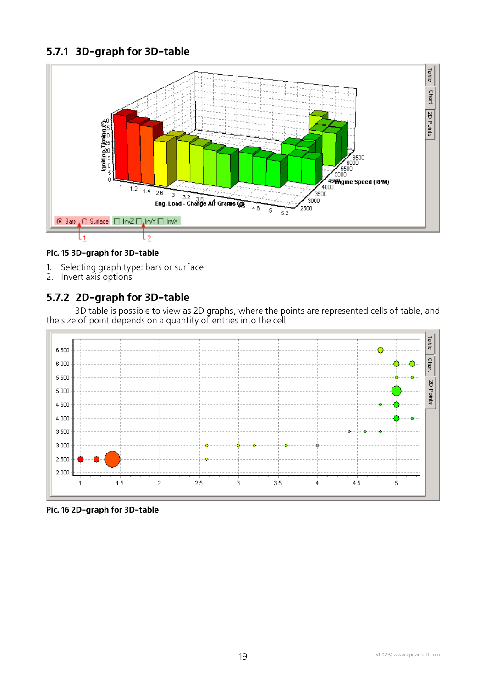## <span id="page-18-0"></span>**5.7.1 3D-graph for 3D-table**



#### **Pic. 15 3D-graph for 3D-table**

- 1. Selecting graph type: bars or surface
- 2. Invert axis options

### **5.7.2 2D-graph for 3D-table**

3D table is possible to view as 2D graphs, where the points are represented cells of table, and the size of point depends on a quantity of entries into the cell.



**Pic. 16 2D-graph for 3D-table**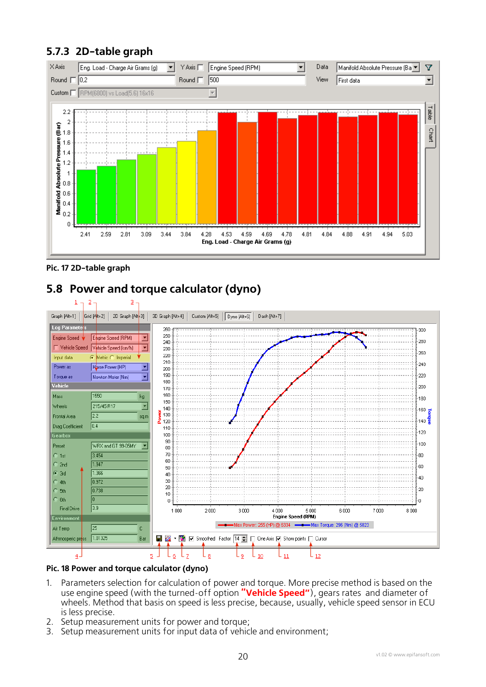## <span id="page-19-0"></span>**5.7.3 2D-table graph**



**Pic. 17 2D-table graph** 

# **5.8 Power and torque calculator (dyno)**



#### **Pic. 18 Power and torque calculator (dyno)**

- 1. Parameters selection for calculation of power and torque. More precise method is based on the use engine speed (with the turned-off option **"Vehicle Speed"**), gears rates and diameter of wheels. Method that basis on speed is less precise, because, usually, vehicle speed sensor in ECU is less precise.
- 2. Setup measurement units for power and torque;<br>3. Setup measurement units for input data of vehic
- Setup measurement units for input data of vehicle and environment;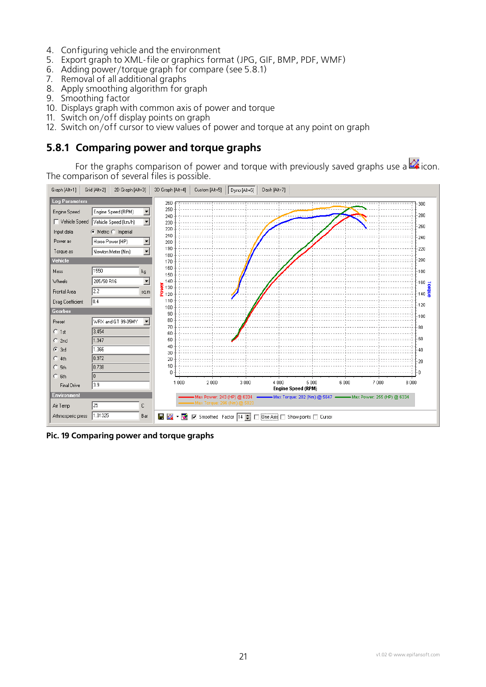- <span id="page-20-0"></span>4. Configuring vehicle and the environment
- 5. Export graph to XML-file or graphics format (JPG, GIF, BMP, PDF, WMF)
- 6. Adding power/torque graph for compare (see [5.8.1\)](#page-20-1)
- 7. Removal of all additional graphs
- 8. Apply smoothing algorithm for graph
- 9. Smoothing factor
- 10. Displays graph with common axis of power and torque
- 11. Switch on/off display points on graph
- 12. Switch on/off cursor to view values of power and torque at any point on graph

#### <span id="page-20-1"></span>**5.8.1 Comparing power and torque graphs**

For the graphs comparison of power and torque with previously saved graphs use a  $\mathbb{Z}$  icon. The comparison of several files is possible.



**Pic. 19 Comparing power and torque graphs**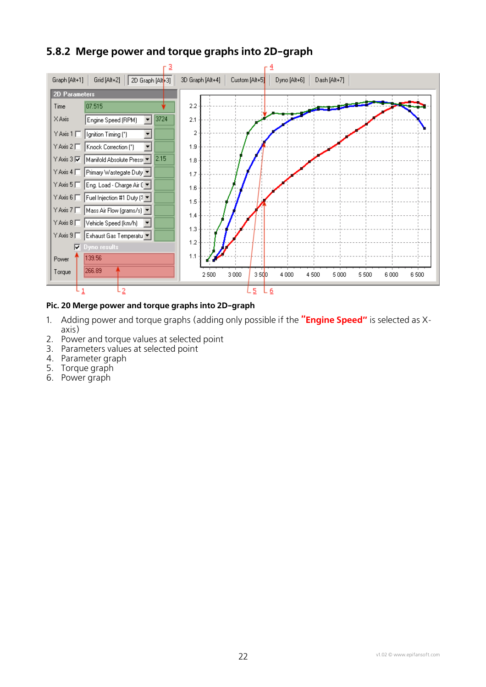## <span id="page-21-0"></span>**5.8.2 Merge power and torque graphs into 2D-graph**



#### **Pic. 20 Merge power and torque graphs into 2D-graph**

- 1. Adding power and torque graphs (adding only possible if the **"Engine Speed"** is selected as Xaxis)
- 2. Power and torque values at selected point
- 3. Parameters values at selected point
- 4. Parameter graph
- 5. Torque graph
- 6. Power graph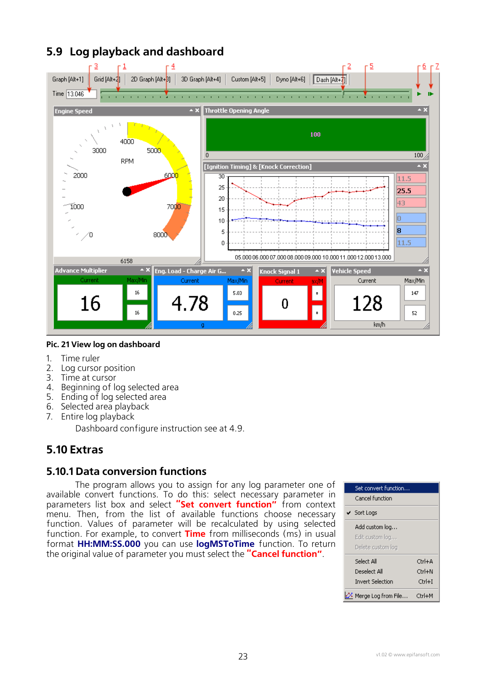

# <span id="page-22-0"></span>**5.9 Log playback and dashboard**

#### **Pic. 21 View log on dashboard**

- 1. Time ruler
- 2. Log cursor position
- 3. Time at cursor
- 4. Beginning of log selected area
- 5. Ending of log selected area
- 6. Selected area playback
- 7. Entire log playback

Dashboard configure instruction see at [4.9.](#page-10-1)

### **5.10 Extras**

#### **5.10.1 Data conversion functions**

The program allows you to assign for any log parameter one of available convert functions. To do this: select necessary parameter in parameters list box and select **"Set convert function"** from context menu. Then, from the list of available functions choose necessary function. Values of parameter will be recalculated by using selected function. For example, to convert **Time** from milliseconds (ms) in usual format **HH:MM:SS.000** you can use **logMSToTime** function. To return the original value of parameter you must select the **"Cancel function"**.